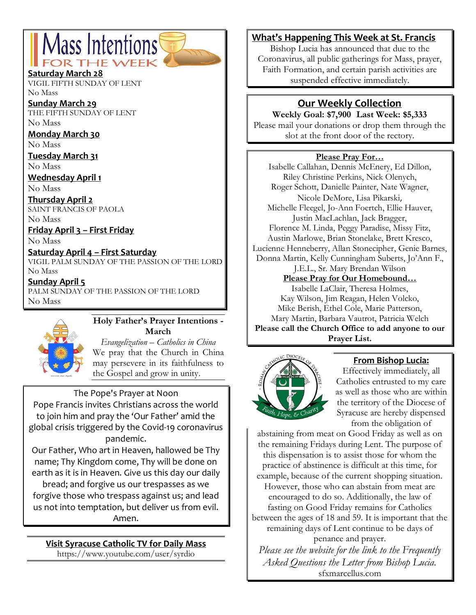# Mass Intentions DR THE WEE

#### **Saturday March 28**

VIGIL FIFTH SUNDAY OF LENT No Mass

**Sunday March 29** THE FIFTH SUNDAY OF LENT No Mass

**Monday March 30**

No Mass

**Tuesday March 31** No Mass

**Wednesday April 1**

No Mass

**Thursday April 2** SAINT FRANCIS OF PAOLA

No Mass

**Friday April 3 – First Friday**

No Mass

#### **Saturday April 4 – First Saturday**

VIGIL PALM SUNDAY OF THE PASSION OF THE LORD No Mass

**Sunday April 5** PALM SUNDAY OF THE PASSION OF THE LORD No Mass



#### **Holy Father's Prayer Intentions - March**

*Evangelization – Catholics in China* We pray that the Church in China may persevere in its faithfulness to the Gospel and grow in unity.

#### The Pope's Prayer at Noon

Pope Francis invites Christians across the world to join him and pray the 'Our Father' amid the global crisis triggered by the Covid-19 coronavirus pandemic.

Our Father, Who art in Heaven, hallowed be Thy name; Thy Kingdom come, Thy will be done on earth as it is in Heaven. Give us this day our daily bread; and forgive us our trespasses as we forgive those who trespass against us; and lead us not into temptation, but deliver us from evil. Amen.

**Visit Syracuse Catholic TV for Daily Mass** https://www.youtube.com/user/syrdio

## **What's Happening This Week at St. Francis**

Bishop Lucia has announced that due to the Coronavirus, all public gatherings for Mass, prayer, Faith Formation, and certain parish activities are suspended effective immediately.

# **Our Weekly Collection**

**Weekly Goal: \$7,900 Last Week: \$5,333** Please mail your donations or drop them through the slot at the front door of the rectory.

#### **Please Pray For…**

Isabelle Callahan, Dennis McEnery, Ed Dillon, Riley Christine Perkins, Nick Olenych, Roger Schott, Danielle Painter, Nate Wagner, Nicole DeMore, Lisa Pikarski, Michelle Fleegel, Jo-Ann Foertch, Ellie Hauver, Justin MacLachlan, Jack Bragger, Florence M. Linda, Peggy Paradise, Missy Fitz, Austin Marlowe, Brian Stonelake, Brett Kresco, Lucienne Henneberry, Allan Stonecipher, Genie Barnes, Donna Martin, Kelly Cunningham Suberts, Jo'Ann F., J.E.L., Sr. Mary Brendan Wilson

#### **Please Pray for Our Homebound…**

Isabelle LaClair, Theresa Holmes, Kay Wilson, Jim Reagan, Helen Volcko, Mike Berish, Ethel Cole, Marie Patterson, Mary Martin, Barbara Vautrot, Patricia Welch **Please call the Church Office to add anyone to our Prayer List.**



## **From Bishop Lucia:**

Effectively immediately, all Catholics entrusted to my care as well as those who are within the territory of the Diocese of Syracuse are hereby dispensed from the obligation of

abstaining from meat on Good Friday as well as on the remaining Fridays during Lent. The purpose of this dispensation is to assist those for whom the practice of abstinence is difficult at this time, for

example, because of the current shopping situation. However, those who can abstain from meat are encouraged to do so. Additionally, the law of fasting on Good Friday remains for Catholics between the ages of 18 and 59. It is important that the remaining days of Lent continue to be days of

penance and prayer.

*Please see the website for the link to the Frequently Asked Questions the Letter from Bishop Lucia.*  sfxmarcellus.com